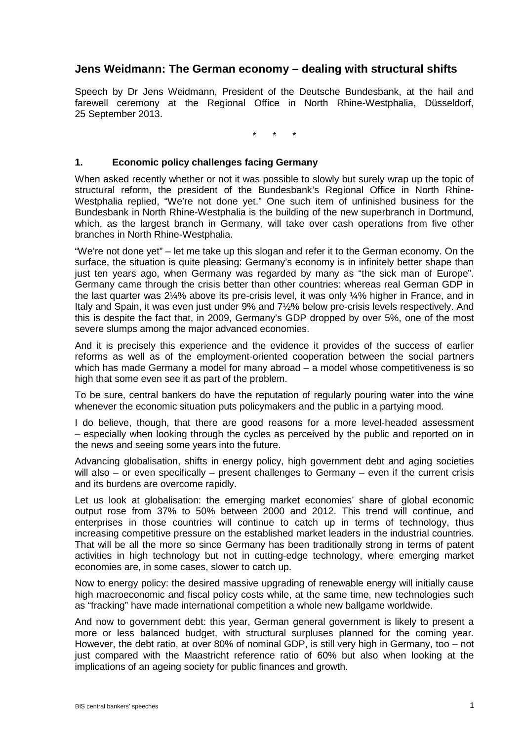# **Jens Weidmann: The German economy – dealing with structural shifts**

Speech by Dr Jens Weidmann, President of the Deutsche Bundesbank, at the hail and farewell ceremony at the Regional Office in North Rhine-Westphalia, Düsseldorf, 25 September 2013.

\* \* \*

#### **1. Economic policy challenges facing Germany**

When asked recently whether or not it was possible to slowly but surely wrap up the topic of structural reform, the president of the Bundesbank's Regional Office in North Rhine-Westphalia replied, "We're not done yet." One such item of unfinished business for the Bundesbank in North Rhine-Westphalia is the building of the new superbranch in Dortmund, which, as the largest branch in Germany, will take over cash operations from five other branches in North Rhine-Westphalia.

"We're not done yet" – let me take up this slogan and refer it to the German economy. On the surface, the situation is quite pleasing: Germany's economy is in infinitely better shape than just ten years ago, when Germany was regarded by many as "the sick man of Europe". Germany came through the crisis better than other countries: whereas real German GDP in the last quarter was 2¼% above its pre-crisis level, it was only ¼% higher in France, and in Italy and Spain, it was even just under 9% and 7½% below pre-crisis levels respectively. And this is despite the fact that, in 2009, Germany's GDP dropped by over 5%, one of the most severe slumps among the major advanced economies.

And it is precisely this experience and the evidence it provides of the success of earlier reforms as well as of the employment-oriented cooperation between the social partners which has made Germany a model for many abroad – a model whose competitiveness is so high that some even see it as part of the problem.

To be sure, central bankers do have the reputation of regularly pouring water into the wine whenever the economic situation puts policymakers and the public in a partying mood.

I do believe, though, that there are good reasons for a more level-headed assessment – especially when looking through the cycles as perceived by the public and reported on in the news and seeing some years into the future.

Advancing globalisation, shifts in energy policy, high government debt and aging societies will also  $-$  or even specifically  $-$  present challenges to Germany  $-$  even if the current crisis and its burdens are overcome rapidly.

Let us look at globalisation: the emerging market economies' share of global economic output rose from 37% to 50% between 2000 and 2012. This trend will continue, and enterprises in those countries will continue to catch up in terms of technology, thus increasing competitive pressure on the established market leaders in the industrial countries. That will be all the more so since Germany has been traditionally strong in terms of patent activities in high technology but not in cutting-edge technology, where emerging market economies are, in some cases, slower to catch up.

Now to energy policy: the desired massive upgrading of renewable energy will initially cause high macroeconomic and fiscal policy costs while, at the same time, new technologies such as "fracking" have made international competition a whole new ballgame worldwide.

And now to government debt: this year, German general government is likely to present a more or less balanced budget, with structural surpluses planned for the coming year. However, the debt ratio, at over 80% of nominal GDP, is still very high in Germany, too – not just compared with the Maastricht reference ratio of 60% but also when looking at the implications of an ageing society for public finances and growth.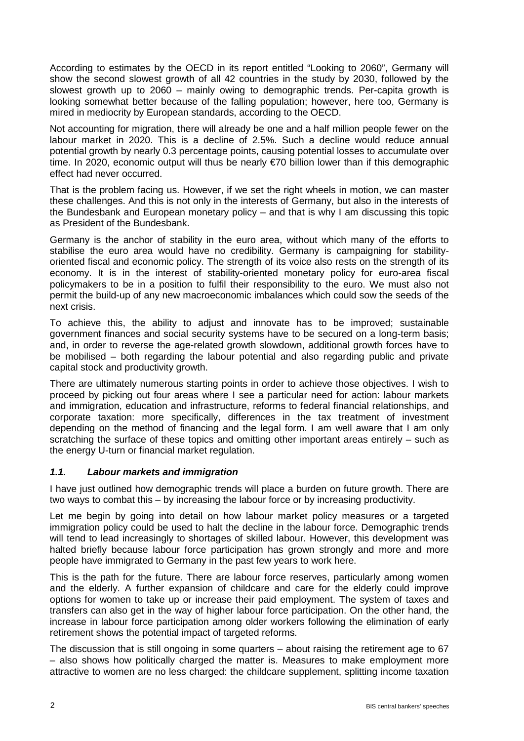According to estimates by the OECD in its report entitled "Looking to 2060", Germany will show the second slowest growth of all 42 countries in the study by 2030, followed by the slowest growth up to 2060 – mainly owing to demographic trends. Per-capita growth is looking somewhat better because of the falling population; however, here too, Germany is mired in mediocrity by European standards, according to the OECD.

Not accounting for migration, there will already be one and a half million people fewer on the labour market in 2020. This is a decline of 2.5%. Such a decline would reduce annual potential growth by nearly 0.3 percentage points, causing potential losses to accumulate over time. In 2020, economic output will thus be nearly €70 billion lower than if this demographic effect had never occurred.

That is the problem facing us. However, if we set the right wheels in motion, we can master these challenges. And this is not only in the interests of Germany, but also in the interests of the Bundesbank and European monetary policy – and that is why I am discussing this topic as President of the Bundesbank.

Germany is the anchor of stability in the euro area, without which many of the efforts to stabilise the euro area would have no credibility. Germany is campaigning for stabilityoriented fiscal and economic policy. The strength of its voice also rests on the strength of its economy. It is in the interest of stability-oriented monetary policy for euro-area fiscal policymakers to be in a position to fulfil their responsibility to the euro. We must also not permit the build-up of any new macroeconomic imbalances which could sow the seeds of the next crisis.

To achieve this, the ability to adjust and innovate has to be improved; sustainable government finances and social security systems have to be secured on a long-term basis; and, in order to reverse the age-related growth slowdown, additional growth forces have to be mobilised – both regarding the labour potential and also regarding public and private capital stock and productivity growth.

There are ultimately numerous starting points in order to achieve those objectives. I wish to proceed by picking out four areas where I see a particular need for action: labour markets and immigration, education and infrastructure, reforms to federal financial relationships, and corporate taxation: more specifically, differences in the tax treatment of investment depending on the method of financing and the legal form. I am well aware that I am only scratching the surface of these topics and omitting other important areas entirely – such as the energy U-turn or financial market regulation.

#### *1.1. Labour markets and immigration*

I have just outlined how demographic trends will place a burden on future growth. There are two ways to combat this – by increasing the labour force or by increasing productivity.

Let me begin by going into detail on how labour market policy measures or a targeted immigration policy could be used to halt the decline in the labour force. Demographic trends will tend to lead increasingly to shortages of skilled labour. However, this development was halted briefly because labour force participation has grown strongly and more and more people have immigrated to Germany in the past few years to work here.

This is the path for the future. There are labour force reserves, particularly among women and the elderly. A further expansion of childcare and care for the elderly could improve options for women to take up or increase their paid employment. The system of taxes and transfers can also get in the way of higher labour force participation. On the other hand, the increase in labour force participation among older workers following the elimination of early retirement shows the potential impact of targeted reforms.

The discussion that is still ongoing in some quarters – about raising the retirement age to 67 – also shows how politically charged the matter is. Measures to make employment more attractive to women are no less charged: the childcare supplement, splitting income taxation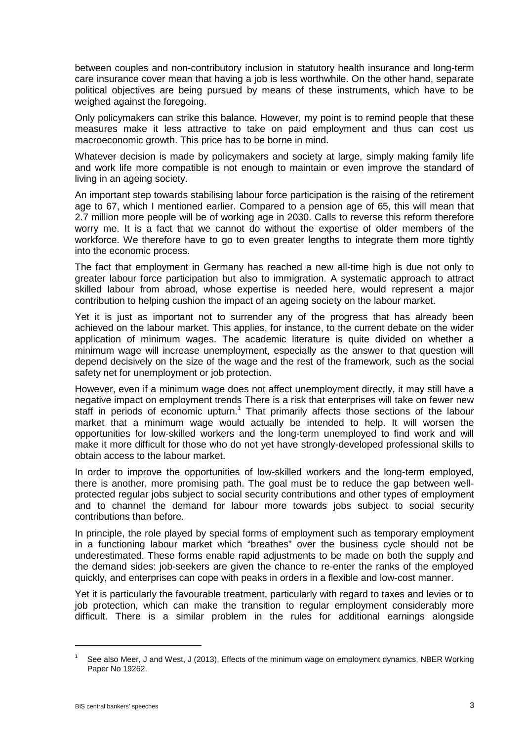between couples and non-contributory inclusion in statutory health insurance and long-term care insurance cover mean that having a job is less worthwhile. On the other hand, separate political objectives are being pursued by means of these instruments, which have to be weighed against the foregoing.

Only policymakers can strike this balance. However, my point is to remind people that these measures make it less attractive to take on paid employment and thus can cost us macroeconomic growth. This price has to be borne in mind.

Whatever decision is made by policymakers and society at large, simply making family life and work life more compatible is not enough to maintain or even improve the standard of living in an ageing society.

An important step towards stabilising labour force participation is the raising of the retirement age to 67, which I mentioned earlier. Compared to a pension age of 65, this will mean that 2.7 million more people will be of working age in 2030. Calls to reverse this reform therefore worry me. It is a fact that we cannot do without the expertise of older members of the workforce. We therefore have to go to even greater lengths to integrate them more tightly into the economic process.

The fact that employment in Germany has reached a new all-time high is due not only to greater labour force participation but also to immigration. A systematic approach to attract skilled labour from abroad, whose expertise is needed here, would represent a major contribution to helping cushion the impact of an ageing society on the labour market.

Yet it is just as important not to surrender any of the progress that has already been achieved on the labour market. This applies, for instance, to the current debate on the wider application of minimum wages. The academic literature is quite divided on whether a minimum wage will increase unemployment, especially as the answer to that question will depend decisively on the size of the wage and the rest of the framework, such as the social safety net for unemployment or job protection.

However, even if a minimum wage does not affect unemployment directly, it may still have a negative impact on employment trends There is a risk that enterprises will take on fewer new staff in periods of economic upturn.<sup>1</sup> That primarily affects those sections of the labour market that a minimum wage would actually be intended to help. It will worsen the opportunities for low-skilled workers and the long-term unemployed to find work and will make it more difficult for those who do not yet have strongly-developed professional skills to obtain access to the labour market.

In order to improve the opportunities of low-skilled workers and the long-term employed, there is another, more promising path. The goal must be to reduce the gap between wellprotected regular jobs subject to social security contributions and other types of employment and to channel the demand for labour more towards jobs subject to social security contributions than before.

In principle, the role played by special forms of employment such as temporary employment in a functioning labour market which "breathes" over the business cycle should not be underestimated. These forms enable rapid adjustments to be made on both the supply and the demand sides: job-seekers are given the chance to re-enter the ranks of the employed quickly, and enterprises can cope with peaks in orders in a flexible and low-cost manner.

Yet it is particularly the favourable treatment, particularly with regard to taxes and levies or to iob protection, which can make the transition to regular employment considerably more difficult. There is a similar problem in the rules for additional earnings alongside

-

See also Meer, J and West, J (2013), Effects of the minimum wage on employment dynamics, NBER Working Paper No 19262.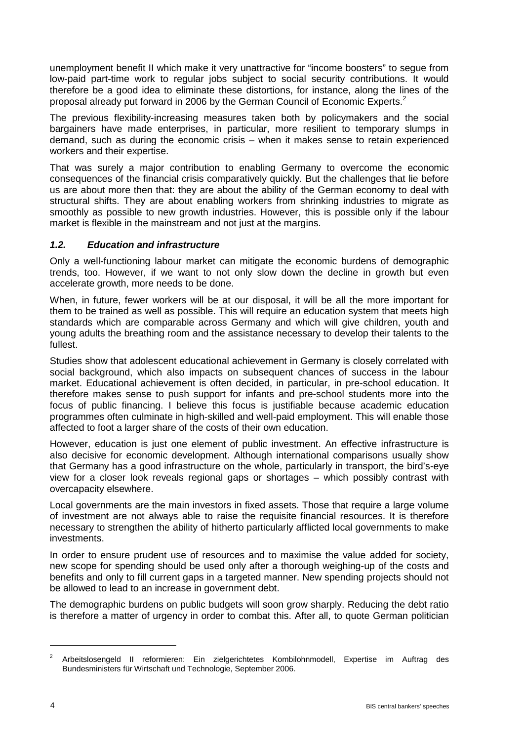unemployment benefit II which make it very unattractive for "income boosters" to segue from low-paid part-time work to regular jobs subject to social security contributions. It would therefore be a good idea to eliminate these distortions, for instance, along the lines of the proposal already put forward in 2006 by the German Council of Economic Experts.<sup>2</sup>

The previous flexibility-increasing measures taken both by policymakers and the social bargainers have made enterprises, in particular, more resilient to temporary slumps in demand, such as during the economic crisis – when it makes sense to retain experienced workers and their expertise.

That was surely a major contribution to enabling Germany to overcome the economic consequences of the financial crisis comparatively quickly. But the challenges that lie before us are about more then that: they are about the ability of the German economy to deal with structural shifts. They are about enabling workers from shrinking industries to migrate as smoothly as possible to new growth industries. However, this is possible only if the labour market is flexible in the mainstream and not just at the margins.

# *1.2. Education and infrastructure*

Only a well-functioning labour market can mitigate the economic burdens of demographic trends, too. However, if we want to not only slow down the decline in growth but even accelerate growth, more needs to be done.

When, in future, fewer workers will be at our disposal, it will be all the more important for them to be trained as well as possible. This will require an education system that meets high standards which are comparable across Germany and which will give children, youth and young adults the breathing room and the assistance necessary to develop their talents to the fullest.

Studies show that adolescent educational achievement in Germany is closely correlated with social background, which also impacts on subsequent chances of success in the labour market. Educational achievement is often decided, in particular, in pre-school education. It therefore makes sense to push support for infants and pre-school students more into the focus of public financing. I believe this focus is justifiable because academic education programmes often culminate in high-skilled and well-paid employment. This will enable those affected to foot a larger share of the costs of their own education.

However, education is just one element of public investment. An effective infrastructure is also decisive for economic development. Although international comparisons usually show that Germany has a good infrastructure on the whole, particularly in transport, the bird's-eye view for a closer look reveals regional gaps or shortages – which possibly contrast with overcapacity elsewhere.

Local governments are the main investors in fixed assets. Those that require a large volume of investment are not always able to raise the requisite financial resources. It is therefore necessary to strengthen the ability of hitherto particularly afflicted local governments to make investments.

In order to ensure prudent use of resources and to maximise the value added for society, new scope for spending should be used only after a thorough weighing-up of the costs and benefits and only to fill current gaps in a targeted manner. New spending projects should not be allowed to lead to an increase in government debt.

The demographic burdens on public budgets will soon grow sharply. Reducing the debt ratio is therefore a matter of urgency in order to combat this. After all, to quote German politician

-

<sup>2</sup> Arbeitslosengeld II reformieren: Ein zielgerichtetes Kombilohnmodell, Expertise im Auftrag des Bundesministers für Wirtschaft und Technologie, September 2006.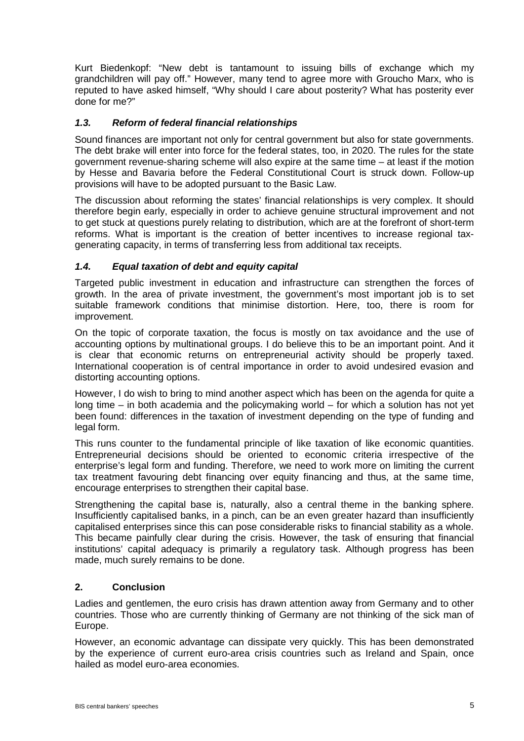Kurt Biedenkopf: "New debt is tantamount to issuing bills of exchange which my grandchildren will pay off." However, many tend to agree more with Groucho Marx, who is reputed to have asked himself, "Why should I care about posterity? What has posterity ever done for me?"

# *1.3. Reform of federal financial relationships*

Sound finances are important not only for central government but also for state governments. The debt brake will enter into force for the federal states, too, in 2020. The rules for the state government revenue-sharing scheme will also expire at the same time – at least if the motion by Hesse and Bavaria before the Federal Constitutional Court is struck down. Follow-up provisions will have to be adopted pursuant to the Basic Law.

The discussion about reforming the states' financial relationships is very complex. It should therefore begin early, especially in order to achieve genuine structural improvement and not to get stuck at questions purely relating to distribution, which are at the forefront of short-term reforms. What is important is the creation of better incentives to increase regional taxgenerating capacity, in terms of transferring less from additional tax receipts.

# *1.4. Equal taxation of debt and equity capital*

Targeted public investment in education and infrastructure can strengthen the forces of growth. In the area of private investment, the government's most important job is to set suitable framework conditions that minimise distortion. Here, too, there is room for improvement.

On the topic of corporate taxation, the focus is mostly on tax avoidance and the use of accounting options by multinational groups. I do believe this to be an important point. And it is clear that economic returns on entrepreneurial activity should be properly taxed. International cooperation is of central importance in order to avoid undesired evasion and distorting accounting options.

However, I do wish to bring to mind another aspect which has been on the agenda for quite a long time – in both academia and the policymaking world – for which a solution has not yet been found: differences in the taxation of investment depending on the type of funding and legal form.

This runs counter to the fundamental principle of like taxation of like economic quantities. Entrepreneurial decisions should be oriented to economic criteria irrespective of the enterprise's legal form and funding. Therefore, we need to work more on limiting the current tax treatment favouring debt financing over equity financing and thus, at the same time, encourage enterprises to strengthen their capital base.

Strengthening the capital base is, naturally, also a central theme in the banking sphere. Insufficiently capitalised banks, in a pinch, can be an even greater hazard than insufficiently capitalised enterprises since this can pose considerable risks to financial stability as a whole. This became painfully clear during the crisis. However, the task of ensuring that financial institutions' capital adequacy is primarily a regulatory task. Although progress has been made, much surely remains to be done.

#### **2. Conclusion**

Ladies and gentlemen, the euro crisis has drawn attention away from Germany and to other countries. Those who are currently thinking of Germany are not thinking of the sick man of Europe.

However, an economic advantage can dissipate very quickly. This has been demonstrated by the experience of current euro-area crisis countries such as Ireland and Spain, once hailed as model euro-area economies.